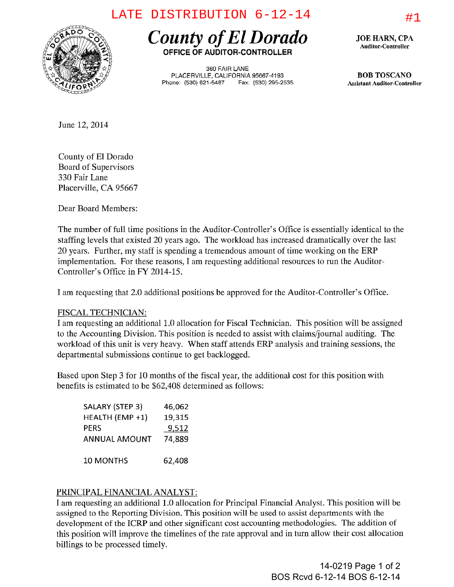## LATE DISTRIBUTION  $6-12-14$   $\qquad \qquad \qquad \text{#1}$



*County of ElDorado*  **OFFICE OF AUDITOR-CONTROLLER** 

360 FAIR LANE PlACERVILLE, CALIFORNIA 95667-4193 Phone: (530) 621-54B7 Fax: (530) 295-2535 JOE HARN, CPA Auditor-Controller

BOB TOSCANO Assistant Auditor-ControUer

June 12,2014

County of El Dorado Board of Supervisors 330 Fair Lane Placerville, CA 95667

Dear Board Members:

The number of full time positions in the Auditor-Controller's Office is essentially identical to the staffing levels that existed 20 years ago. The workload has increased dramatically over the last 20 years. Further, my staff is spending a tremendous amount of time working on the ERP implementation. For these reasons, I am requesting additional resources to run the Auditor-Controller's Office in FY 2014-15.

I am requesting that 2.0 additional positions be approved for the Auditor-Controller's Office.

## FISCAL TECHNICIAN:

I am requesting an additional 1.0 allocation for Fiscal Technician. This position will be assigned to the Accounting Division. This position is needed to assist with claims/journal auditing. The workload of this unit is very heavy. When staff attends ERP analysis and training sessions, the departmental submissions continue to get backlogged.

Based upon Step 3 for 10 months of the fiscal year, the additional cost for this position with benefits is estimated to be \$62,408 determined as follows:

| SALARY (STEP 3)      | 46,062 |
|----------------------|--------|
| HEALTH (EMP +1)      | 19,315 |
| PERS                 | 9,512  |
| <b>ANNUAL AMOUNT</b> | 74,889 |
| <b>10 MONTHS</b>     | 62,408 |

## PRINCIPAL FINANCIAL ANALYST:

I am requesting an additional 1.0 allocation for Principal Financial Analyst. This position will be assigned to the Reporting Division. This position will be used to assist departments with the development of the ICRP and other significant cost accounting methodologies. The addition of this position will improve the timelines of the rate approval and in turn allow their cost allocation billings to be processed timely.

> 14-0219 Page 1 of 2 BOS Rcvd 6-12-14 BOS 6-12-14